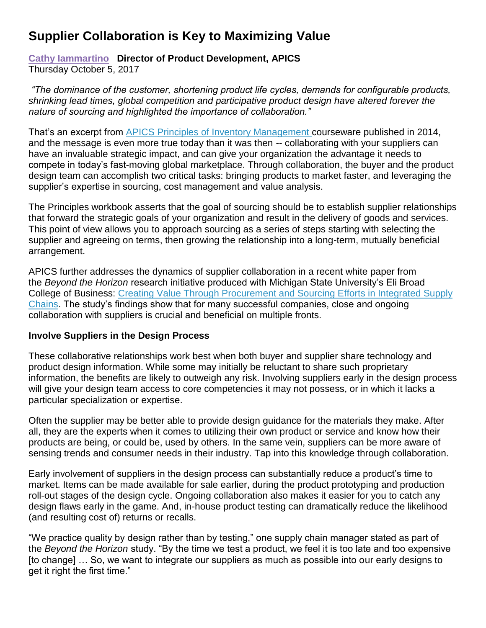## **Supplier Collaboration is Key to Maximizing Value**

## **[Cathy Iammartino](http://www.apics.org/sites/apics-blog/thinking-supply-chain-author-search-result/?author=Cathy%20Iammartino) Director of Product Development, APICS** Thursday October 5, 2017

*"The dominance of the customer, shortening product life cycles, demands for configurable products, shrinking lead times, global competition and participative product design have altered forever the nature of sourcing and highlighted the importance of collaboration."*

That's an excerpt from [APICS Principles of Inventory Management](http://www.apics.org/apics-for-business/products-and-services/supply-chain-talent-development/principles-of-operations-management) courseware published in 2014, and the message is even more true today than it was then -- collaborating with your suppliers can have an invaluable strategic impact, and can give your organization the advantage it needs to compete in today's fast-moving global marketplace. Through collaboration, the buyer and the product design team can accomplish two critical tasks: bringing products to market faster, and leveraging the supplier's expertise in sourcing, cost management and value analysis.

The Principles workbook asserts that the goal of sourcing should be to establish supplier relationships that forward the strategic goals of your organization and result in the delivery of goods and services. This point of view allows you to approach sourcing as a series of steps starting with selecting the supplier and agreeing on terms, then growing the relationship into a long-term, mutually beneficial arrangement.

APICS further addresses the dynamics of supplier collaboration in a recent white paper from the *Beyond the Horizon* research initiative produced with Michigan State University's Eli Broad College of Business: [Creating Value Through Procurement and Sourcing Efforts in Integrated Supply](http://www.apics.org/docs/default-source/scc-non-research/16-1202-bth-paper_final.pdf?sfvrsn=0)  [Chains.](http://www.apics.org/docs/default-source/scc-non-research/16-1202-bth-paper_final.pdf?sfvrsn=0) The study's findings show that for many successful companies, close and ongoing collaboration with suppliers is crucial and beneficial on multiple fronts.

## **Involve Suppliers in the Design Process**

These collaborative relationships work best when both buyer and supplier share technology and product design information. While some may initially be reluctant to share such proprietary information, the benefits are likely to outweigh any risk. Involving suppliers early in the design process will give your design team access to core competencies it may not possess, or in which it lacks a particular specialization or expertise.

Often the supplier may be better able to provide design guidance for the materials they make. After all, they are the experts when it comes to utilizing their own product or service and know how their products are being, or could be, used by others. In the same vein, suppliers can be more aware of sensing trends and consumer needs in their industry. Tap into this knowledge through collaboration.

Early involvement of suppliers in the design process can substantially reduce a product's time to market. Items can be made available for sale earlier, during the product prototyping and production roll-out stages of the design cycle. Ongoing collaboration also makes it easier for you to catch any design flaws early in the game. And, in-house product testing can dramatically reduce the likelihood (and resulting cost of) returns or recalls.

"We practice quality by design rather than by testing," one supply chain manager stated as part of the *Beyond the Horizon* study. "By the time we test a product, we feel it is too late and too expensive [to change] … So, we want to integrate our suppliers as much as possible into our early designs to get it right the first time."